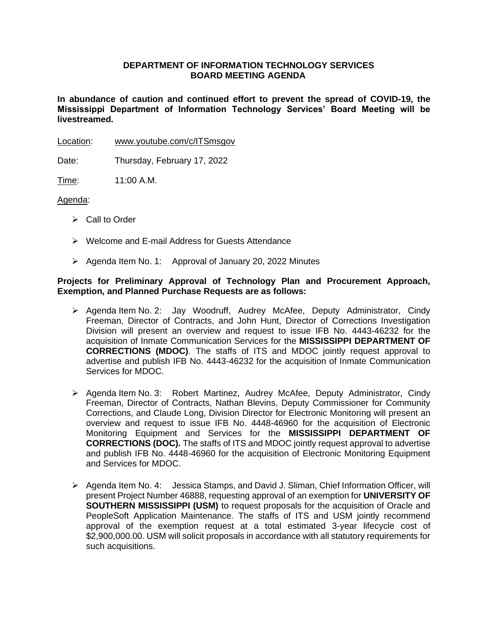# **DEPARTMENT OF INFORMATION TECHNOLOGY SERVICES BOARD MEETING AGENDA**

**In abundance of caution and continued effort to prevent the spread of COVID-19, the Mississippi Department of Information Technology Services' Board Meeting will be livestreamed.** 

Location: [www.youtube.com/c/ITSmsgov](http://www.youtube.com/c/ITSmsgov)

Date: Thursday, February 17, 2022

Time: 11:00 A.M.

#### Agenda:

- ➢ Call to Order
- ➢ Welcome and E-mail Address for Guests Attendance
- ➢ Agenda Item No. 1: Approval of January 20, 2022 Minutes

## **Projects for Preliminary Approval of Technology Plan and Procurement Approach, Exemption, and Planned Purchase Requests are as follows:**

- ➢ Agenda Item No. 2: Jay Woodruff, Audrey McAfee, Deputy Administrator, Cindy Freeman, Director of Contracts, and John Hunt, Director of Corrections Investigation Division will present an overview and request to issue IFB No. 4443-46232 for the acquisition of Inmate Communication Services for the **MISSISSIPPI DEPARTMENT OF CORRECTIONS (MDOC)**. The staffs of ITS and MDOC jointly request approval to advertise and publish IFB No. 4443-46232 for the acquisition of Inmate Communication Services for MDOC.
- ➢ Agenda Item No. 3: Robert Martinez, Audrey McAfee, Deputy Administrator, Cindy Freeman, Director of Contracts, Nathan Blevins, Deputy Commissioner for Community Corrections, and Claude Long, Division Director for Electronic Monitoring will present an overview and request to issue IFB No. 4448-46960 for the acquisition of Electronic Monitoring Equipment and Services for the **MISSISSIPPI DEPARTMENT OF CORRECTIONS (DOC).** The staffs of ITS and MDOC jointly request approval to advertise and publish IFB No. 4448-46960 for the acquisition of Electronic Monitoring Equipment and Services for MDOC.
- ➢ Agenda Item No. 4: Jessica Stamps, and David J. Sliman, Chief Information Officer, will present Project Number 46888, requesting approval of an exemption for **UNIVERSITY OF SOUTHERN MISSISSIPPI (USM)** to request proposals for the acquisition of Oracle and PeopleSoft Application Maintenance. The staffs of ITS and USM jointly recommend approval of the exemption request at a total estimated 3-year lifecycle cost of \$2,900,000.00. USM will solicit proposals in accordance with all statutory requirements for such acquisitions.